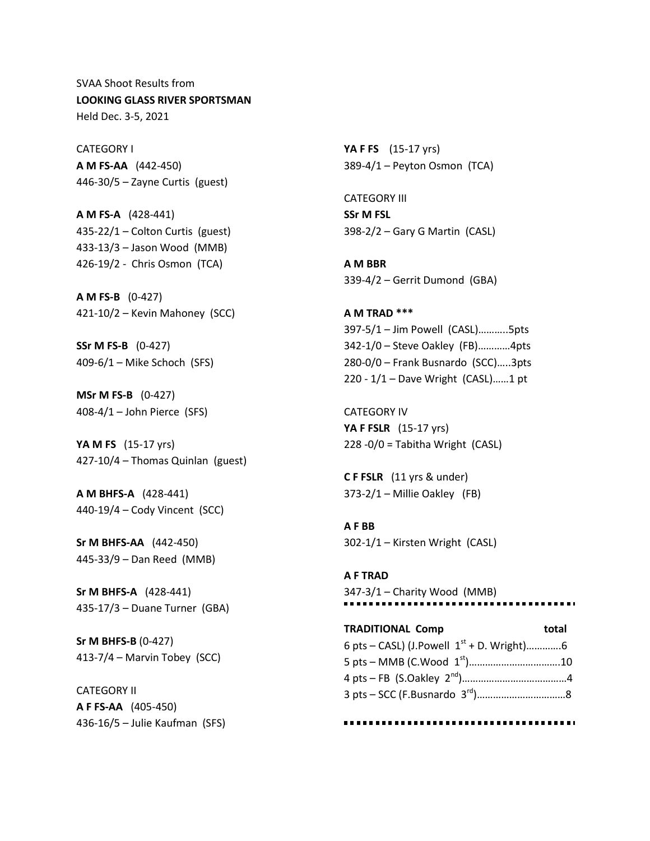SVAA Shoot Results from **LOOKING GLASS RIVER SPORTSMAN** Held Dec. 3-5, 2021

CATEGORY I **A M FS-AA** (442-450) 446-30/5 – Zayne Curtis (guest)

**A M FS-A** (428-441) 435-22/1 – Colton Curtis (guest) 433-13/3 – Jason Wood (MMB) 426-19/2 - Chris Osmon (TCA)

**A M FS-B** (0-427) 421-10/2 – Kevin Mahoney (SCC)

**SSr M FS-B** (0-427) 409-6/1 – Mike Schoch (SFS)

**MSr M FS-B** (0-427) 408-4/1 – John Pierce (SFS)

**YA M FS** (15-17 yrs) 427-10/4 – Thomas Quinlan (guest)

**A M BHFS-A** (428-441) 440-19/4 – Cody Vincent (SCC)

**Sr M BHFS-AA** (442-450) 445-33/9 – Dan Reed (MMB)

**Sr M BHFS-A** (428-441) 435-17/3 – Duane Turner (GBA)

**Sr M BHFS-B** (0-427) 413-7/4 – Marvin Tobey (SCC)

CATEGORY II **A F FS-AA** (405-450) 436-16/5 – Julie Kaufman (SFS) **YA F FS** (15-17 yrs) 389-4/1 – Peyton Osmon (TCA)

CATEGORY III **SSr M FSL** 398-2/2 – Gary G Martin (CASL)

**A M BBR** 339-4/2 – Gerrit Dumond (GBA)

**A M TRAD \*\*\*** 397-5/1 – Jim Powell (CASL)………..5pts 342-1/0 – Steve Oakley (FB)…………4pts 280-0/0 – Frank Busnardo (SCC)…..3pts 220 - 1/1 – Dave Wright (CASL)……1 pt

CATEGORY IV **YA F FSLR** (15-17 yrs) 228 -0/0 = Tabitha Wright (CASL)

**C F FSLR** (11 yrs & under) 373-2/1 – Millie Oakley (FB)

**A F BB** 302-1/1 – Kirsten Wright (CASL)

**A F TRAD** 347-3/1 – Charity Wood (MMB) ................... . . . . . . .

**TRADITIONAL Comp** total 6 pts – CASL) (J.Powell  $1^{st}$  + D. Wright)..............6 5 pts – MMB (C.Wood 1st)…………………………….10 4 pts – FB (S.Oakley 2nd)…………………………………4 3 pts – SCC (F.Busnardo 3rd)……………………………8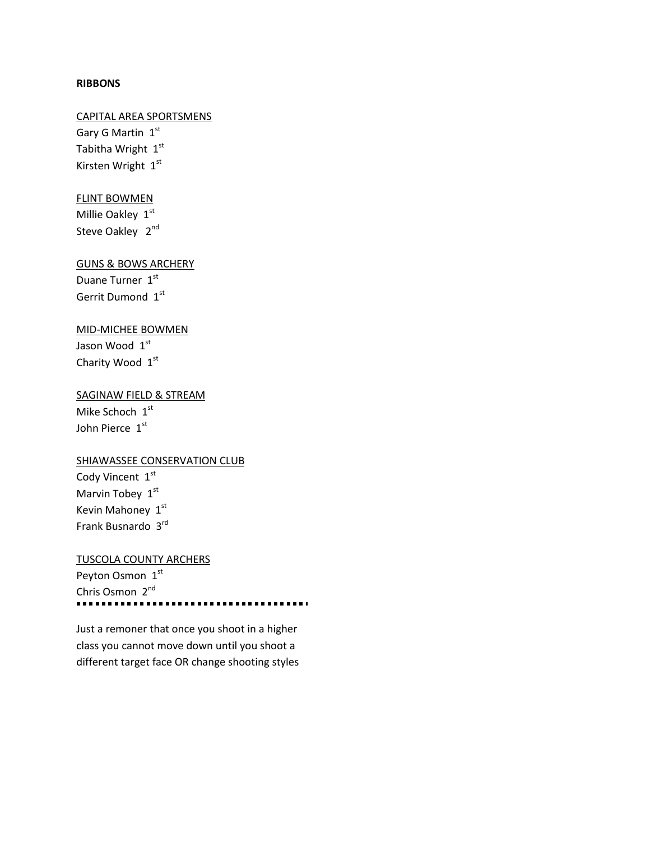### **RIBBONS**

# CAPITAL AREA SPORTSMENS

Gary G Martin 1st Tabitha Wright 1st Kirsten Wright 1st

## FLINT BOWMEN

Millie Oakley 1st Steve Oakley 2<sup>nd</sup>

### GUNS & BOWS ARCHERY

Duane Turner 1st Gerrit Dumond 1st

## MID-MICHEE BOWMEN

Jason Wood 1st Charity Wood 1st

### SAGINAW FIELD & STREAM

Mike Schoch 1st John Pierce 1st

### **SHIAWASSEE CONSERVATION CLUB**

Cody Vincent 1st Marvin Tobey 1st Kevin Mahoney 1st Frank Busnardo 3rd

## TUSCOLA COUNTY ARCHERS

Peyton Osmon 1st Chris Osmon 2<sup>nd</sup>

Just a remoner that once you shoot in a higher class you cannot move down until you shoot a different target face OR change shooting styles